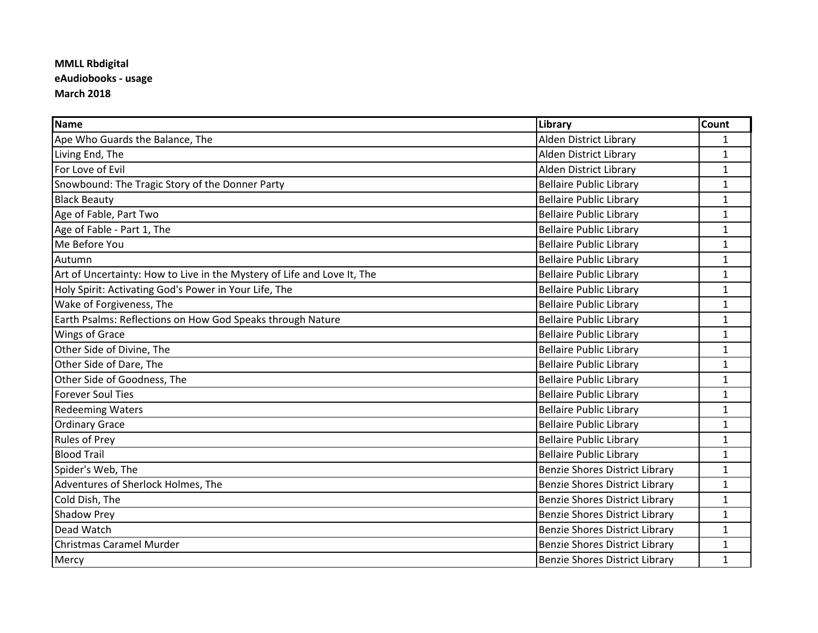## **MMLL Rbdigital eAudiobooks - usage March 2018**

| <b>Name</b>                                                             | Library                               | <b>Count</b> |
|-------------------------------------------------------------------------|---------------------------------------|--------------|
| Ape Who Guards the Balance, The                                         | Alden District Library                | $\mathbf{1}$ |
| Living End, The                                                         | Alden District Library                | $\mathbf{1}$ |
| For Love of Evil                                                        | <b>Alden District Library</b>         | $\mathbf{1}$ |
| Snowbound: The Tragic Story of the Donner Party                         | <b>Bellaire Public Library</b>        | 1            |
| <b>Black Beauty</b>                                                     | <b>Bellaire Public Library</b>        | $\mathbf{1}$ |
| Age of Fable, Part Two                                                  | <b>Bellaire Public Library</b>        | $\mathbf{1}$ |
| Age of Fable - Part 1, The                                              | <b>Bellaire Public Library</b>        | $\mathbf{1}$ |
| Me Before You                                                           | <b>Bellaire Public Library</b>        | 1            |
| Autumn                                                                  | <b>Bellaire Public Library</b>        | $\mathbf{1}$ |
| Art of Uncertainty: How to Live in the Mystery of Life and Love It, The | <b>Bellaire Public Library</b>        | $\mathbf{1}$ |
| Holy Spirit: Activating God's Power in Your Life, The                   | <b>Bellaire Public Library</b>        | $\mathbf{1}$ |
| Wake of Forgiveness, The                                                | <b>Bellaire Public Library</b>        | $\mathbf{1}$ |
| Earth Psalms: Reflections on How God Speaks through Nature              | <b>Bellaire Public Library</b>        | $\mathbf{1}$ |
| <b>Wings of Grace</b>                                                   | <b>Bellaire Public Library</b>        | $\mathbf{1}$ |
| Other Side of Divine, The                                               | <b>Bellaire Public Library</b>        | $\mathbf{1}$ |
| Other Side of Dare, The                                                 | <b>Bellaire Public Library</b>        | $\mathbf{1}$ |
| Other Side of Goodness, The                                             | <b>Bellaire Public Library</b>        | $\mathbf{1}$ |
| <b>Forever Soul Ties</b>                                                | <b>Bellaire Public Library</b>        | $\mathbf{1}$ |
| <b>Redeeming Waters</b>                                                 | <b>Bellaire Public Library</b>        | $\mathbf{1}$ |
| <b>Ordinary Grace</b>                                                   | <b>Bellaire Public Library</b>        | $\mathbf{1}$ |
| <b>Rules of Prey</b>                                                    | <b>Bellaire Public Library</b>        | $\mathbf{1}$ |
| <b>Blood Trail</b>                                                      | <b>Bellaire Public Library</b>        | $\mathbf{1}$ |
| Spider's Web, The                                                       | <b>Benzie Shores District Library</b> | $\mathbf{1}$ |
| Adventures of Sherlock Holmes, The                                      | Benzie Shores District Library        | $\mathbf{1}$ |
| Cold Dish, The                                                          | <b>Benzie Shores District Library</b> | $\mathbf{1}$ |
| Shadow Prey                                                             | <b>Benzie Shores District Library</b> | $\mathbf{1}$ |
| Dead Watch                                                              | <b>Benzie Shores District Library</b> | $\mathbf{1}$ |
| <b>Christmas Caramel Murder</b>                                         | <b>Benzie Shores District Library</b> | $\mathbf{1}$ |
| Mercy                                                                   | Benzie Shores District Library        | $\mathbf{1}$ |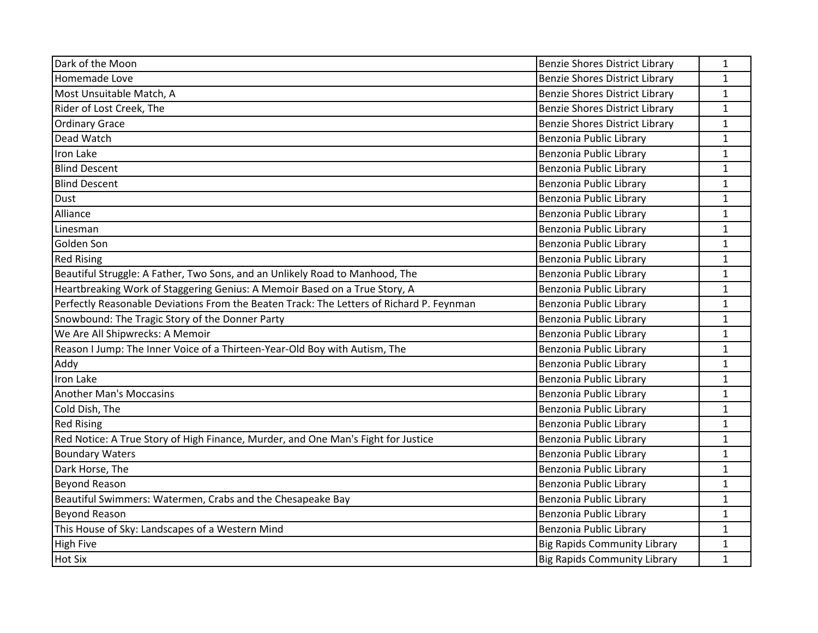| Dark of the Moon                                                                         | Benzie Shores District Library        | $\mathbf{1}$ |
|------------------------------------------------------------------------------------------|---------------------------------------|--------------|
| Homemade Love                                                                            | <b>Benzie Shores District Library</b> | $\mathbf{1}$ |
| Most Unsuitable Match, A                                                                 | <b>Benzie Shores District Library</b> | $\mathbf{1}$ |
| Rider of Lost Creek, The                                                                 | <b>Benzie Shores District Library</b> | $\mathbf{1}$ |
| <b>Ordinary Grace</b>                                                                    | <b>Benzie Shores District Library</b> | $\mathbf{1}$ |
| Dead Watch                                                                               | Benzonia Public Library               | $\mathbf{1}$ |
| Iron Lake                                                                                | Benzonia Public Library               | $\mathbf{1}$ |
| <b>Blind Descent</b>                                                                     | Benzonia Public Library               | $\mathbf{1}$ |
| <b>Blind Descent</b>                                                                     | Benzonia Public Library               | $\mathbf{1}$ |
| Dust                                                                                     | Benzonia Public Library               | $\mathbf 1$  |
| Alliance                                                                                 | Benzonia Public Library               | $\mathbf{1}$ |
| Linesman                                                                                 | Benzonia Public Library               | $\mathbf{1}$ |
| Golden Son                                                                               | Benzonia Public Library               | $\mathbf{1}$ |
| <b>Red Rising</b>                                                                        | Benzonia Public Library               | $\mathbf{1}$ |
| Beautiful Struggle: A Father, Two Sons, and an Unlikely Road to Manhood, The             | Benzonia Public Library               | $\mathbf{1}$ |
| Heartbreaking Work of Staggering Genius: A Memoir Based on a True Story, A               | Benzonia Public Library               | $\mathbf{1}$ |
| Perfectly Reasonable Deviations From the Beaten Track: The Letters of Richard P. Feynman | Benzonia Public Library               | $\mathbf{1}$ |
| Snowbound: The Tragic Story of the Donner Party                                          | Benzonia Public Library               | $\mathbf{1}$ |
| We Are All Shipwrecks: A Memoir                                                          | Benzonia Public Library               | $\mathbf{1}$ |
| Reason I Jump: The Inner Voice of a Thirteen-Year-Old Boy with Autism, The               | Benzonia Public Library               | $\mathbf{1}$ |
| Addy                                                                                     | Benzonia Public Library               | $\mathbf{1}$ |
| Iron Lake                                                                                | Benzonia Public Library               | $\mathbf{1}$ |
| <b>Another Man's Moccasins</b>                                                           | Benzonia Public Library               | $\mathbf{1}$ |
| Cold Dish, The                                                                           | Benzonia Public Library               | $\mathbf{1}$ |
| <b>Red Rising</b>                                                                        | Benzonia Public Library               | $\mathbf{1}$ |
| Red Notice: A True Story of High Finance, Murder, and One Man's Fight for Justice        | Benzonia Public Library               | $\mathbf{1}$ |
| <b>Boundary Waters</b>                                                                   | Benzonia Public Library               | $\mathbf{1}$ |
| Dark Horse, The                                                                          | Benzonia Public Library               | $\mathbf{1}$ |
| <b>Beyond Reason</b>                                                                     | Benzonia Public Library               | $\mathbf{1}$ |
| Beautiful Swimmers: Watermen, Crabs and the Chesapeake Bay                               | Benzonia Public Library               | $\mathbf{1}$ |
| <b>Beyond Reason</b>                                                                     | Benzonia Public Library               | $\mathbf{1}$ |
| This House of Sky: Landscapes of a Western Mind                                          | Benzonia Public Library               | $\mathbf{1}$ |
| <b>High Five</b>                                                                         | <b>Big Rapids Community Library</b>   | $\mathbf{1}$ |
| <b>Hot Six</b>                                                                           | <b>Big Rapids Community Library</b>   | $\mathbf{1}$ |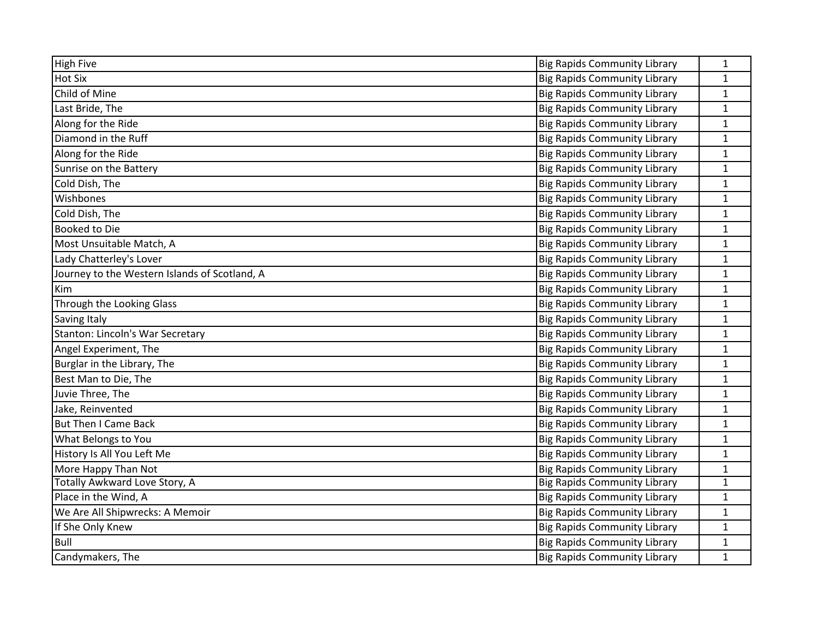| <b>High Five</b>                              | <b>Big Rapids Community Library</b> | 1            |
|-----------------------------------------------|-------------------------------------|--------------|
| <b>Hot Six</b>                                | <b>Big Rapids Community Library</b> | $\mathbf{1}$ |
| Child of Mine                                 | <b>Big Rapids Community Library</b> | $\mathbf{1}$ |
| Last Bride, The                               | <b>Big Rapids Community Library</b> | $\mathbf{1}$ |
| Along for the Ride                            | <b>Big Rapids Community Library</b> | $\mathbf{1}$ |
| Diamond in the Ruff                           | <b>Big Rapids Community Library</b> | $\mathbf 1$  |
| Along for the Ride                            | <b>Big Rapids Community Library</b> | $\mathbf{1}$ |
| Sunrise on the Battery                        | <b>Big Rapids Community Library</b> | $\mathbf{1}$ |
| Cold Dish, The                                | <b>Big Rapids Community Library</b> | $\mathbf{1}$ |
| Wishbones                                     | <b>Big Rapids Community Library</b> | $\mathbf{1}$ |
| Cold Dish, The                                | <b>Big Rapids Community Library</b> | $\mathbf{1}$ |
| <b>Booked to Die</b>                          | <b>Big Rapids Community Library</b> | $\mathbf{1}$ |
| Most Unsuitable Match, A                      | <b>Big Rapids Community Library</b> | $\mathbf{1}$ |
| Lady Chatterley's Lover                       | <b>Big Rapids Community Library</b> | $\mathbf{1}$ |
| Journey to the Western Islands of Scotland, A | <b>Big Rapids Community Library</b> | $\mathbf{1}$ |
| Kim                                           | <b>Big Rapids Community Library</b> | $\mathbf{1}$ |
| Through the Looking Glass                     | <b>Big Rapids Community Library</b> | $\mathbf{1}$ |
| <b>Saving Italy</b>                           | <b>Big Rapids Community Library</b> | $\mathbf{1}$ |
| Stanton: Lincoln's War Secretary              | <b>Big Rapids Community Library</b> | $\mathbf{1}$ |
| Angel Experiment, The                         | <b>Big Rapids Community Library</b> | $\mathbf{1}$ |
| Burglar in the Library, The                   | <b>Big Rapids Community Library</b> | $\mathbf{1}$ |
| Best Man to Die, The                          | <b>Big Rapids Community Library</b> | $\mathbf{1}$ |
| Juvie Three, The                              | <b>Big Rapids Community Library</b> | $\mathbf{1}$ |
| Jake, Reinvented                              | <b>Big Rapids Community Library</b> | $\mathbf 1$  |
| <b>But Then I Came Back</b>                   | <b>Big Rapids Community Library</b> | $\mathbf{1}$ |
| What Belongs to You                           | <b>Big Rapids Community Library</b> | $\mathbf{1}$ |
| History Is All You Left Me                    | <b>Big Rapids Community Library</b> | $\mathbf{1}$ |
| More Happy Than Not                           | <b>Big Rapids Community Library</b> | $\mathbf{1}$ |
| Totally Awkward Love Story, A                 | <b>Big Rapids Community Library</b> | $\mathbf{1}$ |
| Place in the Wind, A                          | <b>Big Rapids Community Library</b> | $\mathbf{1}$ |
| We Are All Shipwrecks: A Memoir               | <b>Big Rapids Community Library</b> | $\mathbf{1}$ |
| If She Only Knew                              | <b>Big Rapids Community Library</b> | $\mathbf{1}$ |
| Bull                                          | <b>Big Rapids Community Library</b> | $\mathbf{1}$ |
| Candymakers, The                              | <b>Big Rapids Community Library</b> | $\mathbf{1}$ |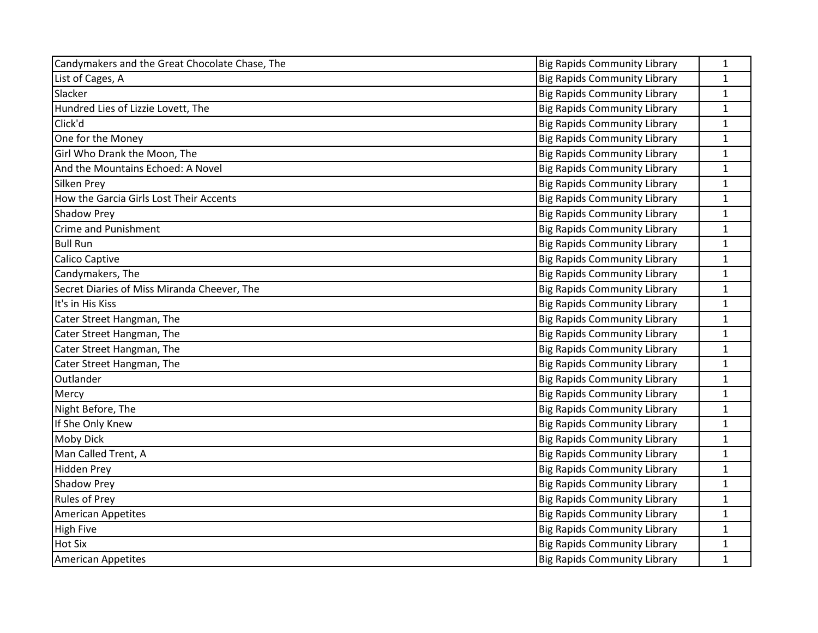| Candymakers and the Great Chocolate Chase, The | <b>Big Rapids Community Library</b> | 1            |
|------------------------------------------------|-------------------------------------|--------------|
| List of Cages, A                               | <b>Big Rapids Community Library</b> | $\mathbf{1}$ |
| Slacker                                        | <b>Big Rapids Community Library</b> | $\mathbf{1}$ |
| Hundred Lies of Lizzie Lovett, The             | <b>Big Rapids Community Library</b> | $\mathbf{1}$ |
| Click'd                                        | <b>Big Rapids Community Library</b> | $\mathbf{1}$ |
| One for the Money                              | <b>Big Rapids Community Library</b> | $\mathbf{1}$ |
| Girl Who Drank the Moon, The                   | <b>Big Rapids Community Library</b> | $\mathbf{1}$ |
| And the Mountains Echoed: A Novel              | <b>Big Rapids Community Library</b> | $\mathbf{1}$ |
| <b>Silken Prey</b>                             | <b>Big Rapids Community Library</b> | $\mathbf{1}$ |
| How the Garcia Girls Lost Their Accents        | <b>Big Rapids Community Library</b> | $\mathbf{1}$ |
| <b>Shadow Prey</b>                             | <b>Big Rapids Community Library</b> | $\mathbf{1}$ |
| Crime and Punishment                           | <b>Big Rapids Community Library</b> | $\mathbf{1}$ |
| <b>Bull Run</b>                                | <b>Big Rapids Community Library</b> | $\mathbf{1}$ |
| Calico Captive                                 | <b>Big Rapids Community Library</b> | $\mathbf{1}$ |
| Candymakers, The                               | <b>Big Rapids Community Library</b> | $\mathbf{1}$ |
| Secret Diaries of Miss Miranda Cheever, The    | <b>Big Rapids Community Library</b> | $\mathbf{1}$ |
| It's in His Kiss                               | <b>Big Rapids Community Library</b> | $\mathbf{1}$ |
| Cater Street Hangman, The                      | <b>Big Rapids Community Library</b> | $\mathbf{1}$ |
| Cater Street Hangman, The                      | <b>Big Rapids Community Library</b> | $\mathbf{1}$ |
| Cater Street Hangman, The                      | <b>Big Rapids Community Library</b> | $\mathbf{1}$ |
| Cater Street Hangman, The                      | <b>Big Rapids Community Library</b> | $\mathbf{1}$ |
| Outlander                                      | <b>Big Rapids Community Library</b> | $\mathbf{1}$ |
| Mercy                                          | <b>Big Rapids Community Library</b> | $\mathbf{1}$ |
| Night Before, The                              | <b>Big Rapids Community Library</b> | $\mathbf 1$  |
| If She Only Knew                               | <b>Big Rapids Community Library</b> | $\mathbf{1}$ |
| Moby Dick                                      | <b>Big Rapids Community Library</b> | $\mathbf{1}$ |
| Man Called Trent, A                            | <b>Big Rapids Community Library</b> | $\mathbf 1$  |
| <b>Hidden Prey</b>                             | <b>Big Rapids Community Library</b> | $\mathbf{1}$ |
| <b>Shadow Prey</b>                             | <b>Big Rapids Community Library</b> | $\mathbf{1}$ |
| <b>Rules of Prey</b>                           | <b>Big Rapids Community Library</b> | $\mathbf{1}$ |
| <b>American Appetites</b>                      | Big Rapids Community Library        | $\mathbf{1}$ |
| <b>High Five</b>                               | <b>Big Rapids Community Library</b> | $\mathbf{1}$ |
| <b>Hot Six</b>                                 | <b>Big Rapids Community Library</b> | $\mathbf{1}$ |
| <b>American Appetites</b>                      | <b>Big Rapids Community Library</b> | $\mathbf{1}$ |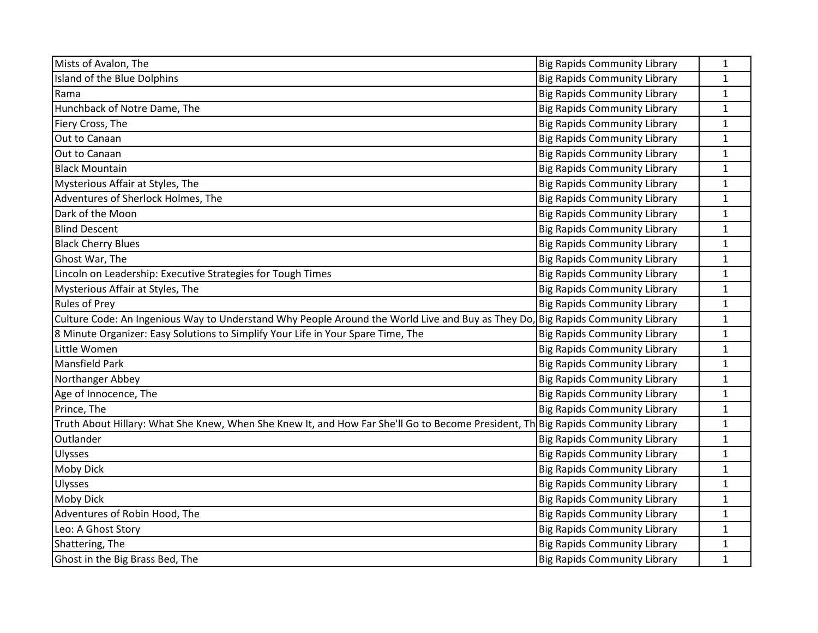| Mists of Avalon, The                                                                                                             | <b>Big Rapids Community Library</b> | 1            |
|----------------------------------------------------------------------------------------------------------------------------------|-------------------------------------|--------------|
| Island of the Blue Dolphins                                                                                                      | <b>Big Rapids Community Library</b> | $\mathbf{1}$ |
| Rama                                                                                                                             | <b>Big Rapids Community Library</b> | $\mathbf{1}$ |
| Hunchback of Notre Dame, The                                                                                                     | <b>Big Rapids Community Library</b> | 1            |
| Fiery Cross, The                                                                                                                 | <b>Big Rapids Community Library</b> | $\mathbf 1$  |
| Out to Canaan                                                                                                                    | <b>Big Rapids Community Library</b> | $\mathbf{1}$ |
| Out to Canaan                                                                                                                    | <b>Big Rapids Community Library</b> | 1            |
| <b>Black Mountain</b>                                                                                                            | <b>Big Rapids Community Library</b> | $\mathbf{1}$ |
| Mysterious Affair at Styles, The                                                                                                 | <b>Big Rapids Community Library</b> | $\mathbf{1}$ |
| Adventures of Sherlock Holmes, The                                                                                               | <b>Big Rapids Community Library</b> | $\mathbf{1}$ |
| Dark of the Moon                                                                                                                 | <b>Big Rapids Community Library</b> | $\mathbf 1$  |
| <b>Blind Descent</b>                                                                                                             | <b>Big Rapids Community Library</b> | $\mathbf{1}$ |
| <b>Black Cherry Blues</b>                                                                                                        | <b>Big Rapids Community Library</b> | $\mathbf{1}$ |
| Ghost War, The                                                                                                                   | <b>Big Rapids Community Library</b> | $\mathbf{1}$ |
| Lincoln on Leadership: Executive Strategies for Tough Times                                                                      | <b>Big Rapids Community Library</b> | $\mathbf 1$  |
| Mysterious Affair at Styles, The                                                                                                 | <b>Big Rapids Community Library</b> | $\mathbf{1}$ |
| <b>Rules of Prey</b>                                                                                                             | <b>Big Rapids Community Library</b> | $\mathbf{1}$ |
| Culture Code: An Ingenious Way to Understand Why People Around the World Live and Buy as They Do                                 | Big Rapids Community Library        | $\mathbf 1$  |
| 8 Minute Organizer: Easy Solutions to Simplify Your Life in Your Spare Time, The                                                 | <b>Big Rapids Community Library</b> | $\mathbf{1}$ |
| Little Women                                                                                                                     | <b>Big Rapids Community Library</b> | $\mathbf{1}$ |
| <b>Mansfield Park</b>                                                                                                            | <b>Big Rapids Community Library</b> | $\mathbf{1}$ |
| Northanger Abbey                                                                                                                 | <b>Big Rapids Community Library</b> | $\mathbf{1}$ |
| Age of Innocence, The                                                                                                            | <b>Big Rapids Community Library</b> | $\mathbf{1}$ |
| Prince, The                                                                                                                      | <b>Big Rapids Community Library</b> | $\mathbf 1$  |
| Truth About Hillary: What She Knew, When She Knew It, and How Far She'll Go to Become President, Th Big Rapids Community Library |                                     | $\mathbf{1}$ |
| Outlander                                                                                                                        | <b>Big Rapids Community Library</b> | $\mathbf{1}$ |
| <b>Ulysses</b>                                                                                                                   | <b>Big Rapids Community Library</b> | $\mathbf{1}$ |
| <b>Moby Dick</b>                                                                                                                 | <b>Big Rapids Community Library</b> | $\mathbf{1}$ |
| Ulysses                                                                                                                          | <b>Big Rapids Community Library</b> | $\mathbf{1}$ |
| <b>Moby Dick</b>                                                                                                                 | <b>Big Rapids Community Library</b> | $\mathbf{1}$ |
| Adventures of Robin Hood, The                                                                                                    | <b>Big Rapids Community Library</b> | $\mathbf{1}$ |
| Leo: A Ghost Story                                                                                                               | <b>Big Rapids Community Library</b> | $\mathbf 1$  |
| Shattering, The                                                                                                                  | <b>Big Rapids Community Library</b> | $\mathbf{1}$ |
| Ghost in the Big Brass Bed, The                                                                                                  | <b>Big Rapids Community Library</b> | $\mathbf{1}$ |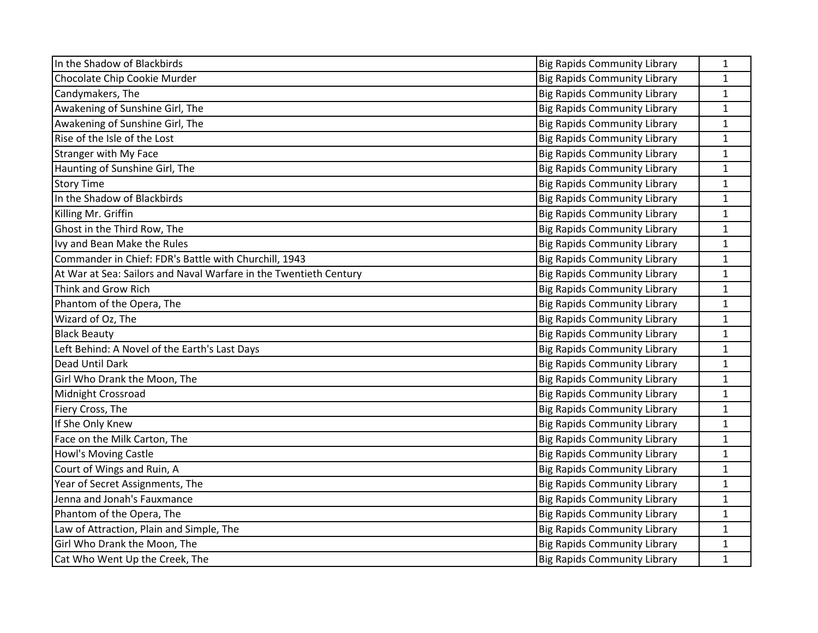| In the Shadow of Blackbirds                                       | <b>Big Rapids Community Library</b> | 1            |
|-------------------------------------------------------------------|-------------------------------------|--------------|
| Chocolate Chip Cookie Murder                                      | <b>Big Rapids Community Library</b> | $\mathbf{1}$ |
| Candymakers, The                                                  | <b>Big Rapids Community Library</b> | $\mathbf{1}$ |
| Awakening of Sunshine Girl, The                                   | <b>Big Rapids Community Library</b> | $\mathbf{1}$ |
| Awakening of Sunshine Girl, The                                   | <b>Big Rapids Community Library</b> | $\mathbf 1$  |
| Rise of the Isle of the Lost                                      | <b>Big Rapids Community Library</b> | $\mathbf{1}$ |
| <b>Stranger with My Face</b>                                      | <b>Big Rapids Community Library</b> | $\mathbf{1}$ |
| Haunting of Sunshine Girl, The                                    | <b>Big Rapids Community Library</b> | $\mathbf{1}$ |
| <b>Story Time</b>                                                 | <b>Big Rapids Community Library</b> | $\mathbf{1}$ |
| In the Shadow of Blackbirds                                       | <b>Big Rapids Community Library</b> | $\mathbf{1}$ |
| Killing Mr. Griffin                                               | <b>Big Rapids Community Library</b> | $\mathbf{1}$ |
| Ghost in the Third Row, The                                       | <b>Big Rapids Community Library</b> | $\mathbf{1}$ |
| Ivy and Bean Make the Rules                                       | <b>Big Rapids Community Library</b> | $\mathbf{1}$ |
| Commander in Chief: FDR's Battle with Churchill, 1943             | <b>Big Rapids Community Library</b> | $\mathbf{1}$ |
| At War at Sea: Sailors and Naval Warfare in the Twentieth Century | <b>Big Rapids Community Library</b> | $\mathbf{1}$ |
| Think and Grow Rich                                               | <b>Big Rapids Community Library</b> | $\mathbf{1}$ |
| Phantom of the Opera, The                                         | <b>Big Rapids Community Library</b> | $\mathbf{1}$ |
| Wizard of Oz, The                                                 | <b>Big Rapids Community Library</b> | $\mathbf{1}$ |
| <b>Black Beauty</b>                                               | <b>Big Rapids Community Library</b> | $\mathbf{1}$ |
| Left Behind: A Novel of the Earth's Last Days                     | <b>Big Rapids Community Library</b> | $\mathbf{1}$ |
| Dead Until Dark                                                   | <b>Big Rapids Community Library</b> | $\mathbf{1}$ |
| Girl Who Drank the Moon, The                                      | <b>Big Rapids Community Library</b> | $\mathbf{1}$ |
| Midnight Crossroad                                                | <b>Big Rapids Community Library</b> | $\mathbf{1}$ |
| Fiery Cross, The                                                  | <b>Big Rapids Community Library</b> | $\mathbf{1}$ |
| If She Only Knew                                                  | <b>Big Rapids Community Library</b> | $\mathbf{1}$ |
| Face on the Milk Carton, The                                      | <b>Big Rapids Community Library</b> | $\mathbf{1}$ |
| Howl's Moving Castle                                              | <b>Big Rapids Community Library</b> | $\mathbf{1}$ |
| Court of Wings and Ruin, A                                        | <b>Big Rapids Community Library</b> | $\mathbf{1}$ |
| Year of Secret Assignments, The                                   | <b>Big Rapids Community Library</b> | $\mathbf{1}$ |
| Jenna and Jonah's Fauxmance                                       | <b>Big Rapids Community Library</b> | $\mathbf{1}$ |
| Phantom of the Opera, The                                         | <b>Big Rapids Community Library</b> | $\mathbf{1}$ |
| Law of Attraction, Plain and Simple, The                          | <b>Big Rapids Community Library</b> | $\mathbf{1}$ |
| Girl Who Drank the Moon, The                                      | <b>Big Rapids Community Library</b> | $\mathbf{1}$ |
| Cat Who Went Up the Creek, The                                    | <b>Big Rapids Community Library</b> | $\mathbf{1}$ |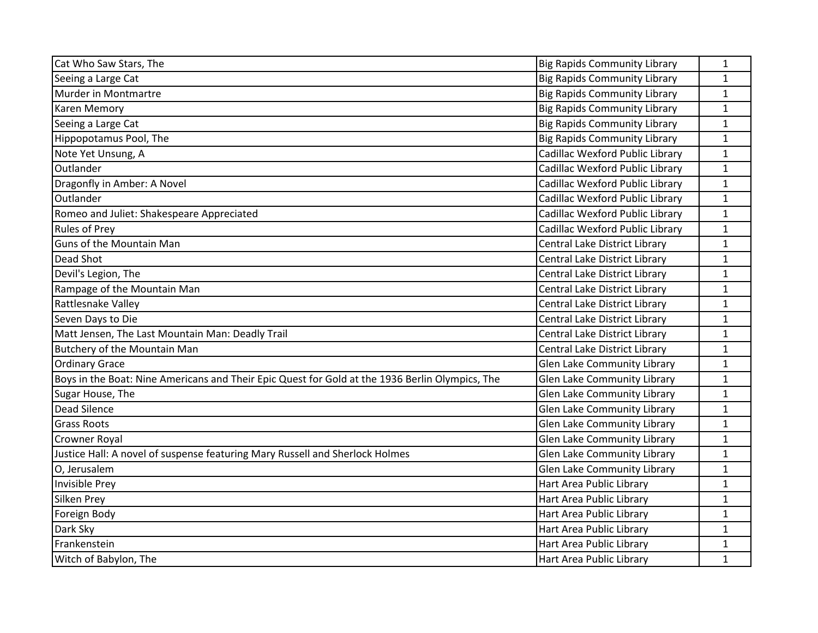| Cat Who Saw Stars, The                                                                          | <b>Big Rapids Community Library</b> | $\mathbf{1}$ |
|-------------------------------------------------------------------------------------------------|-------------------------------------|--------------|
| Seeing a Large Cat                                                                              | <b>Big Rapids Community Library</b> | $\mathbf{1}$ |
| Murder in Montmartre                                                                            | <b>Big Rapids Community Library</b> | $\mathbf{1}$ |
| <b>Karen Memory</b>                                                                             | <b>Big Rapids Community Library</b> | $\mathbf{1}$ |
| Seeing a Large Cat                                                                              | <b>Big Rapids Community Library</b> | $\mathbf{1}$ |
| Hippopotamus Pool, The                                                                          | <b>Big Rapids Community Library</b> | $\mathbf{1}$ |
| Note Yet Unsung, A                                                                              | Cadillac Wexford Public Library     | $\mathbf{1}$ |
| Outlander                                                                                       | Cadillac Wexford Public Library     | $\mathbf{1}$ |
| Dragonfly in Amber: A Novel                                                                     | Cadillac Wexford Public Library     | $\mathbf{1}$ |
| Outlander                                                                                       | Cadillac Wexford Public Library     | $\mathbf{1}$ |
| Romeo and Juliet: Shakespeare Appreciated                                                       | Cadillac Wexford Public Library     | $\mathbf{1}$ |
| <b>Rules of Prey</b>                                                                            | Cadillac Wexford Public Library     | $\mathbf{1}$ |
| Guns of the Mountain Man                                                                        | Central Lake District Library       | $\mathbf{1}$ |
| Dead Shot                                                                                       | Central Lake District Library       | 1            |
| Devil's Legion, The                                                                             | Central Lake District Library       | $\mathbf{1}$ |
| Rampage of the Mountain Man                                                                     | Central Lake District Library       | $\mathbf{1}$ |
| Rattlesnake Valley                                                                              | Central Lake District Library       | $\mathbf{1}$ |
| Seven Days to Die                                                                               | Central Lake District Library       | $\mathbf{1}$ |
| Matt Jensen, The Last Mountain Man: Deadly Trail                                                | Central Lake District Library       | $\mathbf{1}$ |
| Butchery of the Mountain Man                                                                    | Central Lake District Library       | $\mathbf{1}$ |
| <b>Ordinary Grace</b>                                                                           | <b>Glen Lake Community Library</b>  | $\mathbf{1}$ |
| Boys in the Boat: Nine Americans and Their Epic Quest for Gold at the 1936 Berlin Olympics, The | <b>Glen Lake Community Library</b>  | $\mathbf{1}$ |
| Sugar House, The                                                                                | <b>Glen Lake Community Library</b>  | $\mathbf{1}$ |
| Dead Silence                                                                                    | Glen Lake Community Library         | $\mathbf{1}$ |
| <b>Grass Roots</b>                                                                              | Glen Lake Community Library         | $\mathbf{1}$ |
| <b>Crowner Royal</b>                                                                            | <b>Glen Lake Community Library</b>  | $\mathbf{1}$ |
| Justice Hall: A novel of suspense featuring Mary Russell and Sherlock Holmes                    | Glen Lake Community Library         | $\mathbf{1}$ |
| O, Jerusalem                                                                                    | Glen Lake Community Library         | $\mathbf{1}$ |
| Invisible Prey                                                                                  | Hart Area Public Library            | $\mathbf{1}$ |
| Silken Prey                                                                                     | Hart Area Public Library            | $\mathbf 1$  |
| Foreign Body                                                                                    | Hart Area Public Library            | $\mathbf{1}$ |
| Dark Sky                                                                                        | Hart Area Public Library            | 1            |
| Frankenstein                                                                                    | Hart Area Public Library            | $\mathbf{1}$ |
| Witch of Babylon, The                                                                           | Hart Area Public Library            | 1            |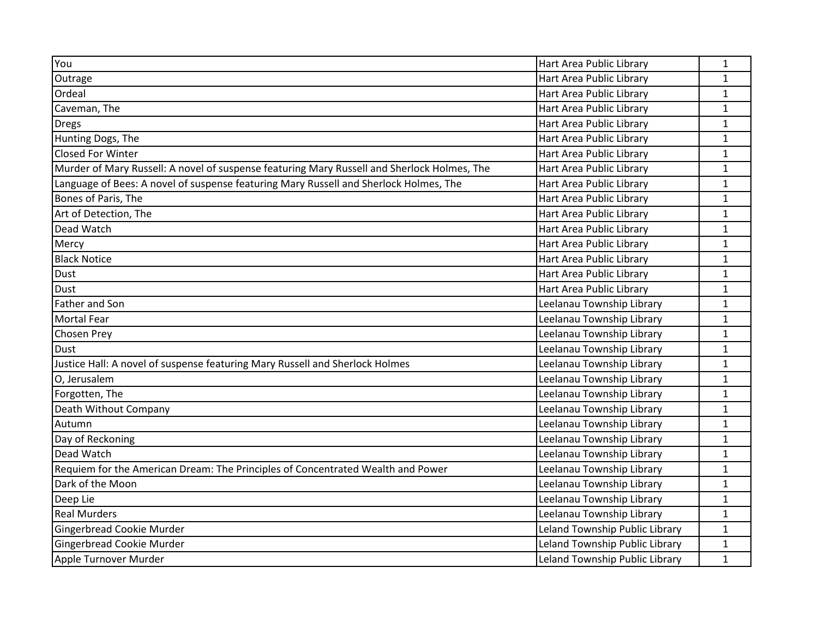| You                                                                                         | Hart Area Public Library       | $\mathbf{1}$ |
|---------------------------------------------------------------------------------------------|--------------------------------|--------------|
|                                                                                             | Hart Area Public Library       |              |
| Outrage                                                                                     |                                | $\mathbf{1}$ |
| Ordeal                                                                                      | Hart Area Public Library       | $\mathbf{1}$ |
| Caveman, The                                                                                | Hart Area Public Library       | $\mathbf{1}$ |
| <b>Dregs</b>                                                                                | Hart Area Public Library       | $\mathbf{1}$ |
| Hunting Dogs, The                                                                           | Hart Area Public Library       | 1            |
| <b>Closed For Winter</b>                                                                    | Hart Area Public Library       | $\mathbf{1}$ |
| Murder of Mary Russell: A novel of suspense featuring Mary Russell and Sherlock Holmes, The | Hart Area Public Library       | $\mathbf{1}$ |
| Language of Bees: A novel of suspense featuring Mary Russell and Sherlock Holmes, The       | Hart Area Public Library       | $\mathbf{1}$ |
| Bones of Paris, The                                                                         | Hart Area Public Library       | $\mathbf 1$  |
| Art of Detection, The                                                                       | Hart Area Public Library       | $\mathbf{1}$ |
| Dead Watch                                                                                  | Hart Area Public Library       | $\mathbf{1}$ |
| Mercy                                                                                       | Hart Area Public Library       | $\mathbf{1}$ |
| <b>Black Notice</b>                                                                         | Hart Area Public Library       | $\mathbf{1}$ |
| Dust                                                                                        | Hart Area Public Library       | $\mathbf{1}$ |
| <b>Dust</b>                                                                                 | Hart Area Public Library       | 1            |
| <b>Father and Son</b>                                                                       | Leelanau Township Library      | $\mathbf{1}$ |
| Mortal Fear                                                                                 | Leelanau Township Library      | $\mathbf{1}$ |
| <b>Chosen Prey</b>                                                                          | Leelanau Township Library      | 1            |
| <b>Dust</b>                                                                                 | Leelanau Township Library      | $\mathbf{1}$ |
| Justice Hall: A novel of suspense featuring Mary Russell and Sherlock Holmes                | Leelanau Township Library      | $\mathbf{1}$ |
| O, Jerusalem                                                                                | Leelanau Township Library      | $\mathbf{1}$ |
| Forgotten, The                                                                              | Leelanau Township Library      | $\mathbf 1$  |
| Death Without Company                                                                       | Leelanau Township Library      | 1            |
| Autumn                                                                                      | Leelanau Township Library      | $\mathbf{1}$ |
| Day of Reckoning                                                                            | Leelanau Township Library      | $\mathbf{1}$ |
| Dead Watch                                                                                  | Leelanau Township Library      | $\mathbf{1}$ |
| Requiem for the American Dream: The Principles of Concentrated Wealth and Power             | Leelanau Township Library      | $\mathbf 1$  |
| Dark of the Moon                                                                            | Leelanau Township Library      | $\mathbf{1}$ |
| Deep Lie                                                                                    | Leelanau Township Library      | $\mathbf{1}$ |
| <b>Real Murders</b>                                                                         | Leelanau Township Library      | $\mathbf{1}$ |
| Gingerbread Cookie Murder                                                                   | Leland Township Public Library | $\mathbf{1}$ |
| Gingerbread Cookie Murder                                                                   | Leland Township Public Library | $\mathbf{1}$ |
| Apple Turnover Murder                                                                       | Leland Township Public Library | $\mathbf{1}$ |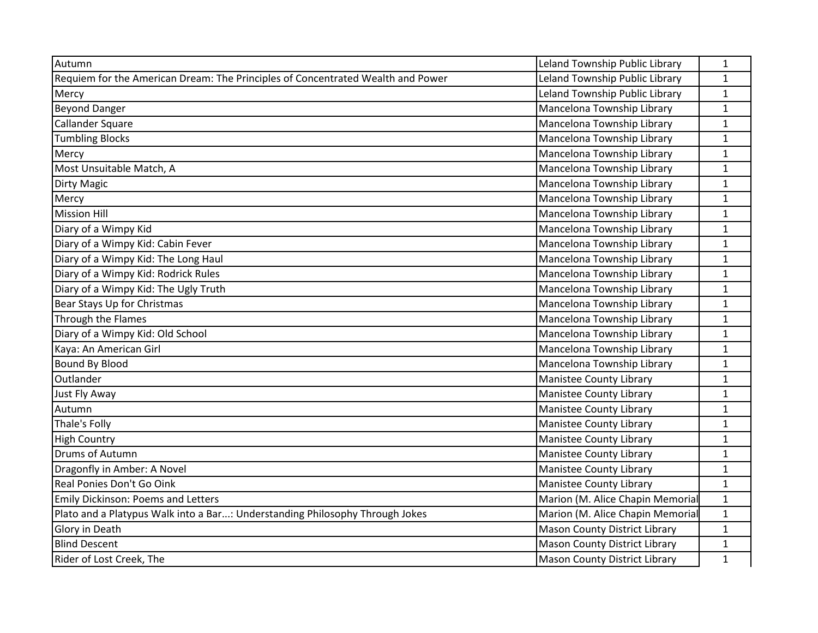| Autumn                                                                          | Leland Township Public Library       | 1            |
|---------------------------------------------------------------------------------|--------------------------------------|--------------|
| Requiem for the American Dream: The Principles of Concentrated Wealth and Power | Leland Township Public Library       | $\mathbf{1}$ |
| Mercy                                                                           | Leland Township Public Library       | $\mathbf{1}$ |
| <b>Beyond Danger</b>                                                            | Mancelona Township Library           | $\mathbf{1}$ |
| Callander Square                                                                | Mancelona Township Library           | $\mathbf{1}$ |
| <b>Tumbling Blocks</b>                                                          | Mancelona Township Library           | $\mathbf{1}$ |
| Mercy                                                                           | Mancelona Township Library           | $\mathbf{1}$ |
| Most Unsuitable Match, A                                                        | Mancelona Township Library           | $\mathbf 1$  |
| <b>Dirty Magic</b>                                                              | Mancelona Township Library           | $\mathbf{1}$ |
| Mercy                                                                           | Mancelona Township Library           | $\mathbf{1}$ |
| <b>Mission Hill</b>                                                             | Mancelona Township Library           | $\mathbf{1}$ |
| Diary of a Wimpy Kid                                                            | Mancelona Township Library           | $\mathbf{1}$ |
| Diary of a Wimpy Kid: Cabin Fever                                               | Mancelona Township Library           | $\mathbf 1$  |
| Diary of a Wimpy Kid: The Long Haul                                             | Mancelona Township Library           | $\mathbf 1$  |
| Diary of a Wimpy Kid: Rodrick Rules                                             | Mancelona Township Library           | $\mathbf 1$  |
| Diary of a Wimpy Kid: The Ugly Truth                                            | Mancelona Township Library           | $\mathbf 1$  |
| Bear Stays Up for Christmas                                                     | Mancelona Township Library           | $\mathbf{1}$ |
| Through the Flames                                                              | Mancelona Township Library           | $\mathbf{1}$ |
| Diary of a Wimpy Kid: Old School                                                | Mancelona Township Library           | $\mathbf{1}$ |
| Kaya: An American Girl                                                          | Mancelona Township Library           | $\mathbf 1$  |
| <b>Bound By Blood</b>                                                           | Mancelona Township Library           | $\mathbf{1}$ |
| Outlander                                                                       | <b>Manistee County Library</b>       | $\mathbf{1}$ |
| Just Fly Away                                                                   | Manistee County Library              | $\mathbf{1}$ |
| Autumn                                                                          | <b>Manistee County Library</b>       | $\mathbf 1$  |
| Thale's Folly                                                                   | Manistee County Library              | $\mathbf{1}$ |
| <b>High Country</b>                                                             | <b>Manistee County Library</b>       | $\mathbf 1$  |
| Drums of Autumn                                                                 | Manistee County Library              | $\mathbf{1}$ |
| Dragonfly in Amber: A Novel                                                     | Manistee County Library              | $\mathbf{1}$ |
| Real Ponies Don't Go Oink                                                       | Manistee County Library              | $\mathbf{1}$ |
| <b>Emily Dickinson: Poems and Letters</b>                                       | Marion (M. Alice Chapin Memorial     | $\mathbf{1}$ |
| Plato and a Platypus Walk into a Bar: Understanding Philosophy Through Jokes    | Marion (M. Alice Chapin Memorial     | $\mathbf{1}$ |
| Glory in Death                                                                  | <b>Mason County District Library</b> | 1            |
| <b>Blind Descent</b>                                                            | <b>Mason County District Library</b> | $\mathbf{1}$ |
| Rider of Lost Creek, The                                                        | <b>Mason County District Library</b> | $\mathbf 1$  |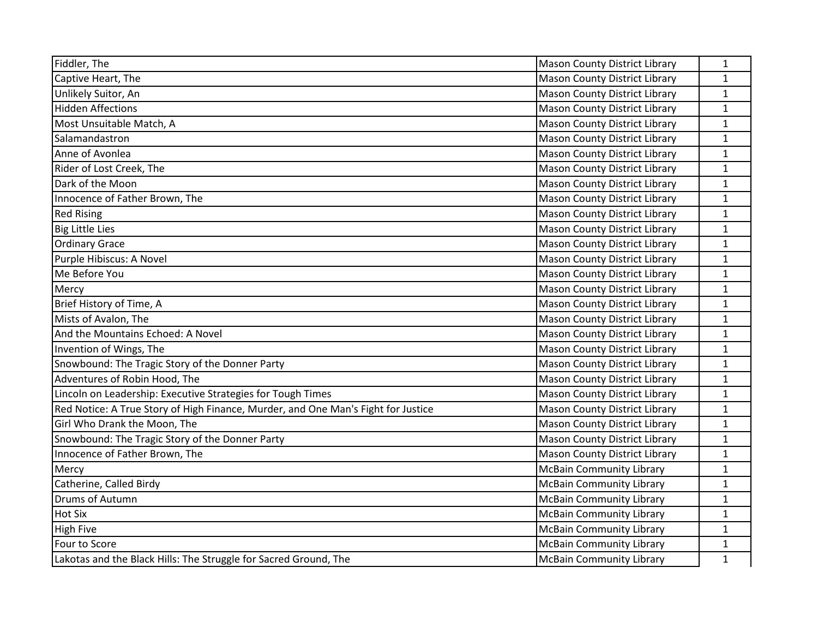| Fiddler, The                                                                      | <b>Mason County District Library</b> | 1            |
|-----------------------------------------------------------------------------------|--------------------------------------|--------------|
| Captive Heart, The                                                                | <b>Mason County District Library</b> | $\mathbf{1}$ |
| Unlikely Suitor, An                                                               | Mason County District Library        | $\mathbf{1}$ |
| <b>Hidden Affections</b>                                                          | <b>Mason County District Library</b> | $\mathbf{1}$ |
| Most Unsuitable Match, A                                                          | <b>Mason County District Library</b> | $\mathbf{1}$ |
| Salamandastron                                                                    | <b>Mason County District Library</b> | $\mathbf{1}$ |
| Anne of Avonlea                                                                   | <b>Mason County District Library</b> | $\mathbf{1}$ |
| Rider of Lost Creek, The                                                          | <b>Mason County District Library</b> | $\mathbf{1}$ |
| Dark of the Moon                                                                  | <b>Mason County District Library</b> | $\mathbf{1}$ |
| Innocence of Father Brown, The                                                    | <b>Mason County District Library</b> | $\mathbf{1}$ |
| <b>Red Rising</b>                                                                 | Mason County District Library        | $\mathbf{1}$ |
| <b>Big Little Lies</b>                                                            | <b>Mason County District Library</b> | $\mathbf{1}$ |
| <b>Ordinary Grace</b>                                                             | <b>Mason County District Library</b> | $\mathbf 1$  |
| Purple Hibiscus: A Novel                                                          | Mason County District Library        | $\mathbf{1}$ |
| Me Before You                                                                     | <b>Mason County District Library</b> | $\mathbf{1}$ |
| Mercy                                                                             | <b>Mason County District Library</b> | $\mathbf{1}$ |
| Brief History of Time, A                                                          | <b>Mason County District Library</b> | $\mathbf{1}$ |
| Mists of Avalon, The                                                              | <b>Mason County District Library</b> | $\mathbf{1}$ |
| And the Mountains Echoed: A Novel                                                 | <b>Mason County District Library</b> | $\mathbf{1}$ |
| Invention of Wings, The                                                           | Mason County District Library        | $\mathbf{1}$ |
| Snowbound: The Tragic Story of the Donner Party                                   | Mason County District Library        | $\mathbf{1}$ |
| Adventures of Robin Hood, The                                                     | <b>Mason County District Library</b> | $\mathbf{1}$ |
| Lincoln on Leadership: Executive Strategies for Tough Times                       | <b>Mason County District Library</b> | $\mathbf{1}$ |
| Red Notice: A True Story of High Finance, Murder, and One Man's Fight for Justice | <b>Mason County District Library</b> | $\mathbf 1$  |
| Girl Who Drank the Moon, The                                                      | <b>Mason County District Library</b> | $\mathbf{1}$ |
| Snowbound: The Tragic Story of the Donner Party                                   | <b>Mason County District Library</b> | $\mathbf{1}$ |
| Innocence of Father Brown, The                                                    | <b>Mason County District Library</b> | $\mathbf{1}$ |
| Mercy                                                                             | <b>McBain Community Library</b>      | $\mathbf{1}$ |
| Catherine, Called Birdy                                                           | <b>McBain Community Library</b>      | $\mathbf 1$  |
| Drums of Autumn                                                                   | <b>McBain Community Library</b>      | $\mathbf{1}$ |
| <b>Hot Six</b>                                                                    | <b>McBain Community Library</b>      | $\mathbf 1$  |
| <b>High Five</b>                                                                  | <b>McBain Community Library</b>      | 1            |
| Four to Score                                                                     | <b>McBain Community Library</b>      | $\mathbf{1}$ |
| Lakotas and the Black Hills: The Struggle for Sacred Ground, The                  | <b>McBain Community Library</b>      | $\mathbf 1$  |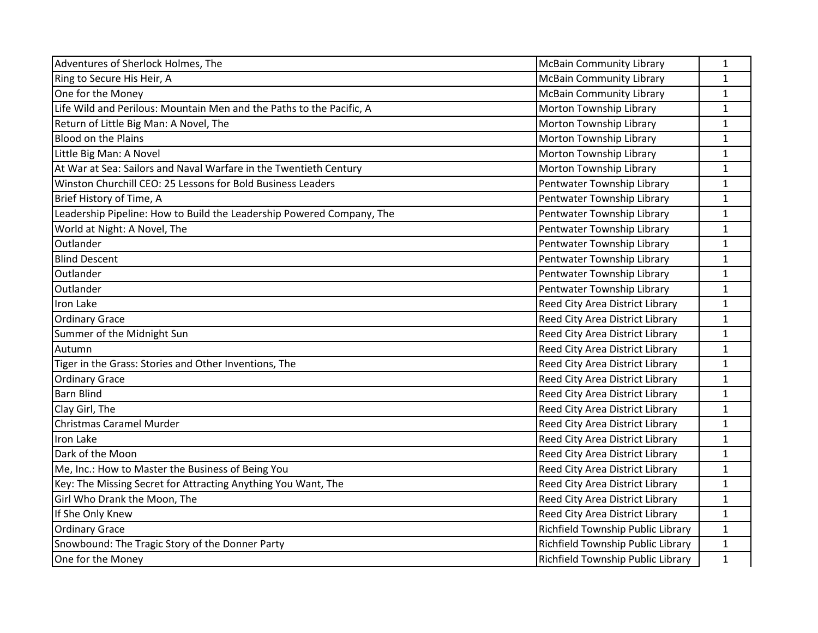| Adventures of Sherlock Holmes, The                                    | <b>McBain Community Library</b>   | $\mathbf{1}$ |
|-----------------------------------------------------------------------|-----------------------------------|--------------|
| Ring to Secure His Heir, A                                            | <b>McBain Community Library</b>   | $\mathbf{1}$ |
| One for the Money                                                     | <b>McBain Community Library</b>   | $\mathbf{1}$ |
| Life Wild and Perilous: Mountain Men and the Paths to the Pacific, A  | Morton Township Library           | $\mathbf{1}$ |
| Return of Little Big Man: A Novel, The                                | Morton Township Library           | $\mathbf{1}$ |
| <b>Blood on the Plains</b>                                            | Morton Township Library           | $\mathbf{1}$ |
| Little Big Man: A Novel                                               | Morton Township Library           | $\mathbf{1}$ |
| At War at Sea: Sailors and Naval Warfare in the Twentieth Century     | Morton Township Library           | $\mathbf 1$  |
| Winston Churchill CEO: 25 Lessons for Bold Business Leaders           | Pentwater Township Library        | 1            |
| Brief History of Time, A                                              | Pentwater Township Library        | $\mathbf{1}$ |
| Leadership Pipeline: How to Build the Leadership Powered Company, The | Pentwater Township Library        | $\mathbf{1}$ |
| World at Night: A Novel, The                                          | Pentwater Township Library        | $\mathbf{1}$ |
| Outlander                                                             | Pentwater Township Library        | $\mathbf{1}$ |
| <b>Blind Descent</b>                                                  | Pentwater Township Library        | $\mathbf{1}$ |
| Outlander                                                             | Pentwater Township Library        | $\mathbf{1}$ |
| Outlander                                                             | Pentwater Township Library        | $\mathbf{1}$ |
| Iron Lake                                                             | Reed City Area District Library   | $\mathbf{1}$ |
| <b>Ordinary Grace</b>                                                 | Reed City Area District Library   | $\mathbf{1}$ |
| Summer of the Midnight Sun                                            | Reed City Area District Library   | 1            |
| Autumn                                                                | Reed City Area District Library   | $\mathbf{1}$ |
| Tiger in the Grass: Stories and Other Inventions, The                 | Reed City Area District Library   | $\mathbf{1}$ |
| <b>Ordinary Grace</b>                                                 | Reed City Area District Library   | $\mathbf{1}$ |
| <b>Barn Blind</b>                                                     | Reed City Area District Library   | $\mathbf{1}$ |
| Clay Girl, The                                                        | Reed City Area District Library   | 1            |
| Christmas Caramel Murder                                              | Reed City Area District Library   | $\mathbf{1}$ |
| Iron Lake                                                             | Reed City Area District Library   | $\mathbf{1}$ |
| Dark of the Moon                                                      | Reed City Area District Library   | $\mathbf{1}$ |
| Me, Inc.: How to Master the Business of Being You                     | Reed City Area District Library   | $\mathbf{1}$ |
| Key: The Missing Secret for Attracting Anything You Want, The         | Reed City Area District Library   | $\mathbf{1}$ |
| Girl Who Drank the Moon, The                                          | Reed City Area District Library   | $\mathbf{1}$ |
| If She Only Knew                                                      | Reed City Area District Library   | $\mathbf{1}$ |
| <b>Ordinary Grace</b>                                                 | Richfield Township Public Library | $\mathbf{1}$ |
| Snowbound: The Tragic Story of the Donner Party                       | Richfield Township Public Library | $\mathbf{1}$ |
| One for the Money                                                     | Richfield Township Public Library | $\mathbf{1}$ |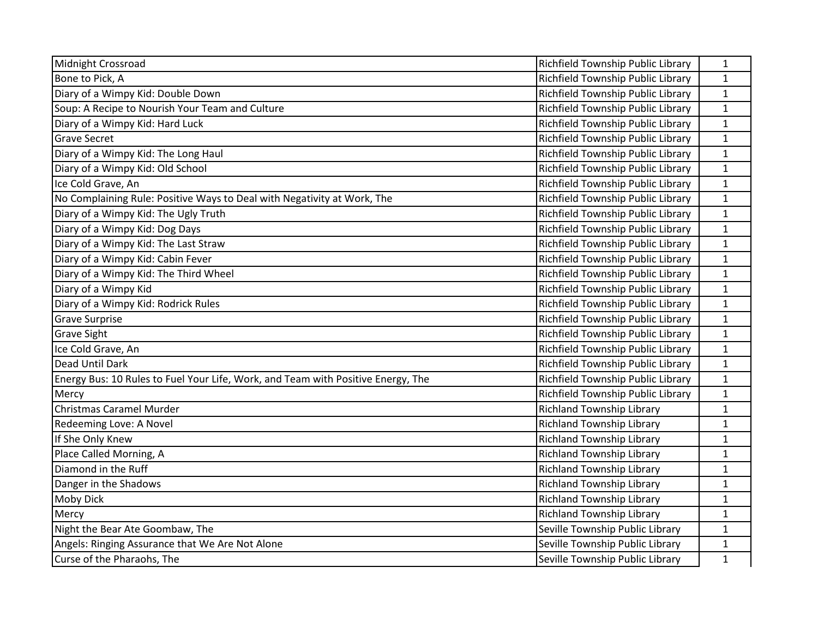| <b>Midnight Crossroad</b>                                                        | Richfield Township Public Library | $\mathbf{1}$ |
|----------------------------------------------------------------------------------|-----------------------------------|--------------|
| Bone to Pick, A                                                                  | Richfield Township Public Library | $\mathbf{1}$ |
| Diary of a Wimpy Kid: Double Down                                                | Richfield Township Public Library | $\mathbf{1}$ |
| Soup: A Recipe to Nourish Your Team and Culture                                  | Richfield Township Public Library | $\mathbf{1}$ |
| Diary of a Wimpy Kid: Hard Luck                                                  | Richfield Township Public Library | $\mathbf{1}$ |
| <b>Grave Secret</b>                                                              | Richfield Township Public Library | $\mathbf{1}$ |
| Diary of a Wimpy Kid: The Long Haul                                              | Richfield Township Public Library | $\mathbf{1}$ |
| Diary of a Wimpy Kid: Old School                                                 | Richfield Township Public Library | $\mathbf{1}$ |
| Ice Cold Grave, An                                                               | Richfield Township Public Library | $\mathbf{1}$ |
| No Complaining Rule: Positive Ways to Deal with Negativity at Work, The          | Richfield Township Public Library | $\mathbf{1}$ |
| Diary of a Wimpy Kid: The Ugly Truth                                             | Richfield Township Public Library | $\mathbf{1}$ |
| Diary of a Wimpy Kid: Dog Days                                                   | Richfield Township Public Library | $\mathbf{1}$ |
| Diary of a Wimpy Kid: The Last Straw                                             | Richfield Township Public Library | $\mathbf{1}$ |
| Diary of a Wimpy Kid: Cabin Fever                                                | Richfield Township Public Library | $\mathbf{1}$ |
| Diary of a Wimpy Kid: The Third Wheel                                            | Richfield Township Public Library | $\mathbf{1}$ |
| Diary of a Wimpy Kid                                                             | Richfield Township Public Library | $\mathbf{1}$ |
| Diary of a Wimpy Kid: Rodrick Rules                                              | Richfield Township Public Library | $\mathbf{1}$ |
| <b>Grave Surprise</b>                                                            | Richfield Township Public Library | $\mathbf{1}$ |
| <b>Grave Sight</b>                                                               | Richfield Township Public Library | $\mathbf{1}$ |
| Ice Cold Grave, An                                                               | Richfield Township Public Library | $\mathbf{1}$ |
| Dead Until Dark                                                                  | Richfield Township Public Library | $\mathbf{1}$ |
| Energy Bus: 10 Rules to Fuel Your Life, Work, and Team with Positive Energy, The | Richfield Township Public Library | $\mathbf{1}$ |
| Mercy                                                                            | Richfield Township Public Library | $\mathbf{1}$ |
| Christmas Caramel Murder                                                         | <b>Richland Township Library</b>  | $\mathbf{1}$ |
| Redeeming Love: A Novel                                                          | <b>Richland Township Library</b>  | $\mathbf{1}$ |
| If She Only Knew                                                                 | <b>Richland Township Library</b>  | $\mathbf{1}$ |
| Place Called Morning, A                                                          | <b>Richland Township Library</b>  | $\mathbf{1}$ |
| Diamond in the Ruff                                                              | Richland Township Library         | $\mathbf{1}$ |
| Danger in the Shadows                                                            | <b>Richland Township Library</b>  | $\mathbf{1}$ |
| <b>Moby Dick</b>                                                                 | <b>Richland Township Library</b>  | $\mathbf{1}$ |
| Mercy                                                                            | <b>Richland Township Library</b>  | $\mathbf{1}$ |
| Night the Bear Ate Goombaw, The                                                  | Seville Township Public Library   | $\mathbf{1}$ |
| Angels: Ringing Assurance that We Are Not Alone                                  | Seville Township Public Library   | $\mathbf{1}$ |
| Curse of the Pharaohs, The                                                       | Seville Township Public Library   | $\mathbf{1}$ |